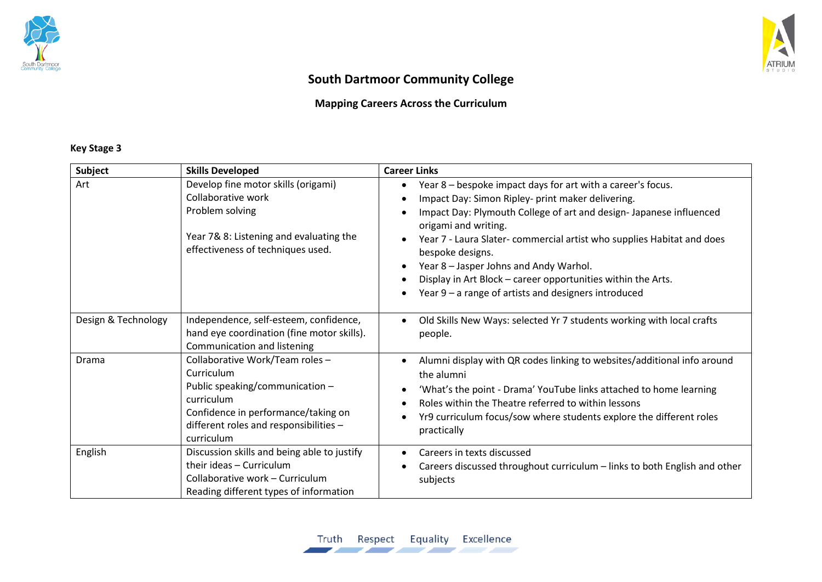



# **South Dartmoor Community College**

## **Mapping Careers Across the Curriculum**

### **Key Stage 3**

| Subject             | <b>Skills Developed</b>                                                                                                                                                                       | <b>Career Links</b>                                                                                                                                                                                                                                                                                                                                                                                                                                                             |
|---------------------|-----------------------------------------------------------------------------------------------------------------------------------------------------------------------------------------------|---------------------------------------------------------------------------------------------------------------------------------------------------------------------------------------------------------------------------------------------------------------------------------------------------------------------------------------------------------------------------------------------------------------------------------------------------------------------------------|
| Art                 | Develop fine motor skills (origami)<br>Collaborative work<br>Problem solving<br>Year 7& 8: Listening and evaluating the<br>effectiveness of techniques used.                                  | Year 8 – bespoke impact days for art with a career's focus.<br>Impact Day: Simon Ripley- print maker delivering.<br>Impact Day: Plymouth College of art and design- Japanese influenced<br>origami and writing.<br>Year 7 - Laura Slater- commercial artist who supplies Habitat and does<br>bespoke designs.<br>Year 8 - Jasper Johns and Andy Warhol.<br>Display in Art Block - career opportunities within the Arts.<br>Year 9 - a range of artists and designers introduced |
| Design & Technology | Independence, self-esteem, confidence,<br>hand eye coordination (fine motor skills).<br>Communication and listening                                                                           | Old Skills New Ways: selected Yr 7 students working with local crafts<br>people.                                                                                                                                                                                                                                                                                                                                                                                                |
| Drama               | Collaborative Work/Team roles -<br>Curriculum<br>Public speaking/communication -<br>curriculum<br>Confidence in performance/taking on<br>different roles and responsibilities -<br>curriculum | Alumni display with QR codes linking to websites/additional info around<br>the alumni<br>'What's the point - Drama' YouTube links attached to home learning<br>Roles within the Theatre referred to within lessons<br>Yr9 curriculum focus/sow where students explore the different roles<br>practically                                                                                                                                                                        |
| English             | Discussion skills and being able to justify<br>their ideas - Curriculum<br>Collaborative work - Curriculum<br>Reading different types of information                                          | Careers in texts discussed<br>Careers discussed throughout curriculum - links to both English and other<br>subjects                                                                                                                                                                                                                                                                                                                                                             |

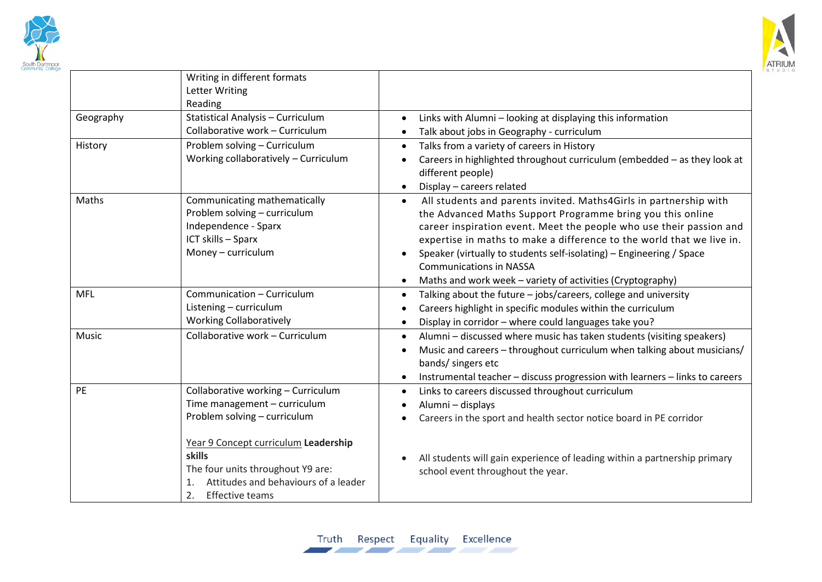



|            | Writing in different formats<br><b>Letter Writing</b><br>Reading                                                                                           |                                                                                                                                                                                                                                                                                                                                                                                                                                                                                   |
|------------|------------------------------------------------------------------------------------------------------------------------------------------------------------|-----------------------------------------------------------------------------------------------------------------------------------------------------------------------------------------------------------------------------------------------------------------------------------------------------------------------------------------------------------------------------------------------------------------------------------------------------------------------------------|
| Geography  | Statistical Analysis - Curriculum<br>Collaborative work - Curriculum                                                                                       | Links with Alumni - looking at displaying this information<br>$\bullet$<br>Talk about jobs in Geography - curriculum                                                                                                                                                                                                                                                                                                                                                              |
| History    | Problem solving - Curriculum<br>Working collaboratively - Curriculum                                                                                       | Talks from a variety of careers in History<br>$\bullet$<br>Careers in highlighted throughout curriculum (embedded - as they look at<br>different people)<br>Display - careers related<br>$\bullet$                                                                                                                                                                                                                                                                                |
| Maths      | Communicating mathematically<br>Problem solving - curriculum<br>Independence - Sparx<br>ICT skills - Sparx<br>Money - curriculum                           | All students and parents invited. Maths4Girls in partnership with<br>$\bullet$<br>the Advanced Maths Support Programme bring you this online<br>career inspiration event. Meet the people who use their passion and<br>expertise in maths to make a difference to the world that we live in.<br>Speaker (virtually to students self-isolating) - Engineering / Space<br><b>Communications in NASSA</b><br>Maths and work week - variety of activities (Cryptography)<br>$\bullet$ |
| <b>MFL</b> | Communication - Curriculum<br>Listening - curriculum<br><b>Working Collaboratively</b>                                                                     | Talking about the future - jobs/careers, college and university<br>$\bullet$<br>Careers highlight in specific modules within the curriculum<br>Display in corridor - where could languages take you?<br>$\bullet$                                                                                                                                                                                                                                                                 |
| Music      | Collaborative work - Curriculum                                                                                                                            | Alumni - discussed where music has taken students (visiting speakers)<br>$\bullet$<br>Music and careers - throughout curriculum when talking about musicians/<br>bands/ singers etc<br>Instrumental teacher - discuss progression with learners - links to careers                                                                                                                                                                                                                |
| PE         | Collaborative working - Curriculum<br>Time management - curriculum<br>Problem solving - curriculum                                                         | Links to careers discussed throughout curriculum<br>Alumni - displays<br>Careers in the sport and health sector notice board in PE corridor                                                                                                                                                                                                                                                                                                                                       |
|            | Year 9 Concept curriculum Leadership<br>skills<br>The four units throughout Y9 are:<br>Attitudes and behaviours of a leader<br>1.<br>2.<br>Effective teams | All students will gain experience of leading within a partnership primary<br>school event throughout the year.                                                                                                                                                                                                                                                                                                                                                                    |

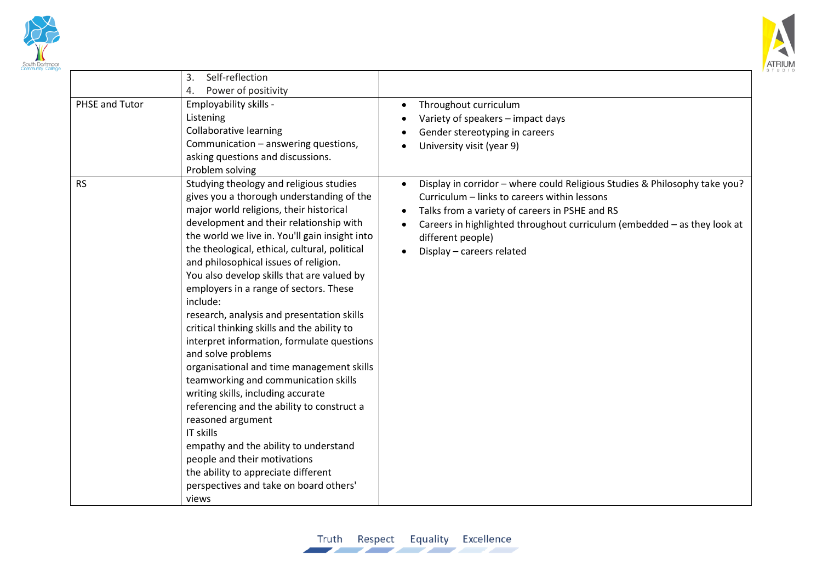



|                | Self-reflection<br>3.                          |                                                                            |
|----------------|------------------------------------------------|----------------------------------------------------------------------------|
|                | Power of positivity<br>4.                      |                                                                            |
| PHSE and Tutor | Employability skills -                         | Throughout curriculum<br>$\bullet$                                         |
|                | Listening                                      | Variety of speakers - impact days                                          |
|                | <b>Collaborative learning</b>                  | Gender stereotyping in careers                                             |
|                | Communication - answering questions,           | University visit (year 9)                                                  |
|                | asking questions and discussions.              |                                                                            |
|                | Problem solving                                |                                                                            |
| <b>RS</b>      | Studying theology and religious studies        | Display in corridor - where could Religious Studies & Philosophy take you? |
|                | gives you a thorough understanding of the      | Curriculum - links to careers within lessons                               |
|                | major world religions, their historical        | Talks from a variety of careers in PSHE and RS<br>$\bullet$                |
|                | development and their relationship with        | Careers in highlighted throughout curriculum (embedded - as they look at   |
|                | the world we live in. You'll gain insight into | different people)                                                          |
|                | the theological, ethical, cultural, political  | Display - careers related                                                  |
|                | and philosophical issues of religion.          |                                                                            |
|                | You also develop skills that are valued by     |                                                                            |
|                | employers in a range of sectors. These         |                                                                            |
|                | include:                                       |                                                                            |
|                | research, analysis and presentation skills     |                                                                            |
|                | critical thinking skills and the ability to    |                                                                            |
|                | interpret information, formulate questions     |                                                                            |
|                | and solve problems                             |                                                                            |
|                | organisational and time management skills      |                                                                            |
|                | teamworking and communication skills           |                                                                            |
|                | writing skills, including accurate             |                                                                            |
|                | referencing and the ability to construct a     |                                                                            |
|                | reasoned argument                              |                                                                            |
|                | IT skills                                      |                                                                            |
|                | empathy and the ability to understand          |                                                                            |
|                | people and their motivations                   |                                                                            |
|                | the ability to appreciate different            |                                                                            |
|                | perspectives and take on board others'         |                                                                            |
|                | views                                          |                                                                            |
|                |                                                |                                                                            |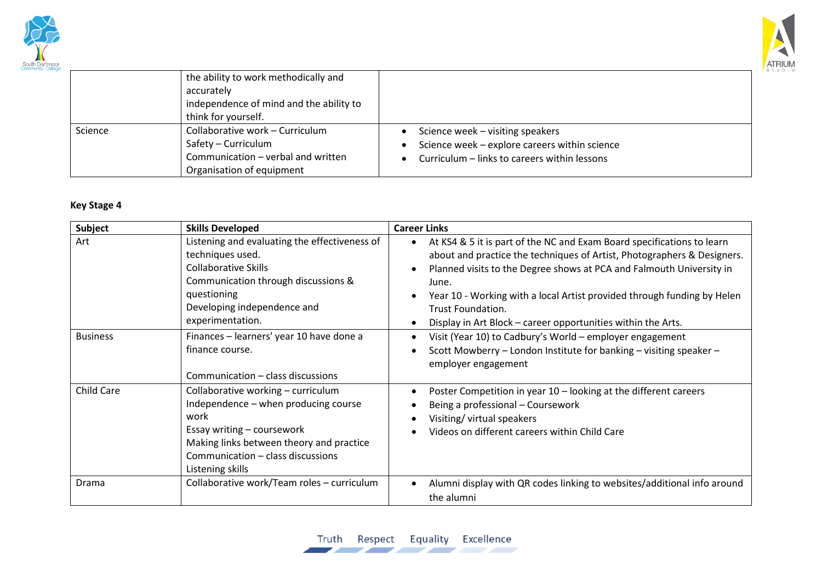



|         | the ability to work methodically and<br>accurately<br>independence of mind and the ability to<br>think for yourself.      |                                                                                                                                   |
|---------|---------------------------------------------------------------------------------------------------------------------------|-----------------------------------------------------------------------------------------------------------------------------------|
| Science | Collaborative work - Curriculum<br>Safety - Curriculum<br>Communication - verbal and written<br>Organisation of equipment | Science week - visiting speakers<br>Science week - explore careers within science<br>Curriculum - links to careers within lessons |

#### **Key Stage 4**

| Subject         | <b>Skills Developed</b>                                                                                                                                                                                               | <b>Career Links</b>                                                                                                                                                                                                                                                                                                                                                                                                                 |
|-----------------|-----------------------------------------------------------------------------------------------------------------------------------------------------------------------------------------------------------------------|-------------------------------------------------------------------------------------------------------------------------------------------------------------------------------------------------------------------------------------------------------------------------------------------------------------------------------------------------------------------------------------------------------------------------------------|
| Art             | Listening and evaluating the effectiveness of<br>techniques used.<br>Collaborative Skills<br>Communication through discussions &<br>questioning<br>Developing independence and<br>experimentation.                    | At KS4 & 5 it is part of the NC and Exam Board specifications to learn<br>$\bullet$<br>about and practice the techniques of Artist, Photographers & Designers.<br>Planned visits to the Degree shows at PCA and Falmouth University in<br>June.<br>Year 10 - Working with a local Artist provided through funding by Helen<br><b>Trust Foundation.</b><br>Display in Art Block - career opportunities within the Arts.<br>$\bullet$ |
| <b>Business</b> | Finances - learners' year 10 have done a<br>finance course.<br>Communication - class discussions                                                                                                                      | Visit (Year 10) to Cadbury's World - employer engagement<br>Scott Mowberry - London Institute for banking - visiting speaker -<br>$\epsilon$<br>employer engagement                                                                                                                                                                                                                                                                 |
| Child Care      | Collaborative working - curriculum<br>Independence - when producing course<br>work<br>Essay writing - coursework<br>Making links between theory and practice<br>Communication - class discussions<br>Listening skills | Poster Competition in year 10 - looking at the different careers<br>Being a professional - Coursework<br>Visiting/ virtual speakers<br>Videos on different careers within Child Care                                                                                                                                                                                                                                                |
| Drama           | Collaborative work/Team roles - curriculum                                                                                                                                                                            | Alumni display with QR codes linking to websites/additional info around<br>the alumni                                                                                                                                                                                                                                                                                                                                               |

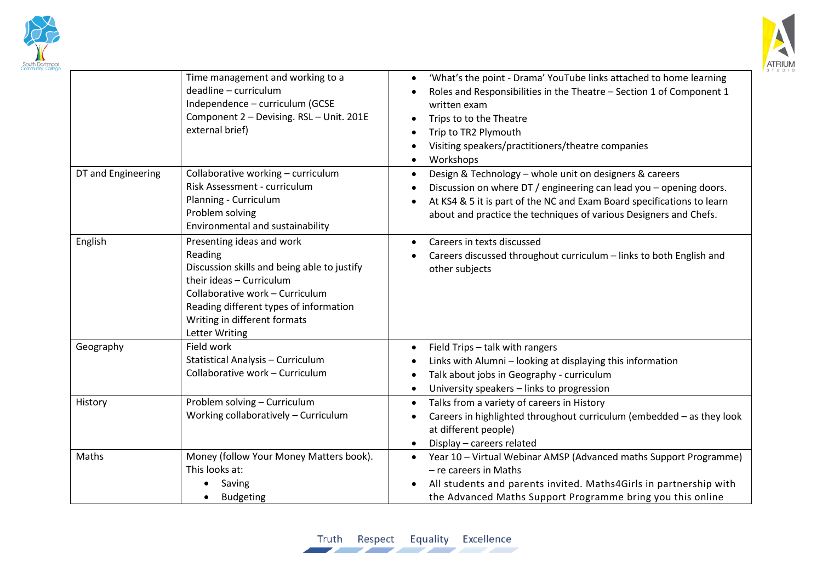



|                    | Time management and working to a<br>deadline - curriculum<br>Independence - curriculum (GCSE<br>Component 2 - Devising. RSL - Unit. 201E<br>external brief)                                                                                           | 'What's the point - Drama' YouTube links attached to home learning<br>$\bullet$<br>Roles and Responsibilities in the Theatre - Section 1 of Component 1<br>$\bullet$<br>written exam<br>Trips to to the Theatre<br>Trip to TR2 Plymouth<br>$\bullet$<br>Visiting speakers/practitioners/theatre companies<br>$\bullet$<br>Workshops<br>$\bullet$ |
|--------------------|-------------------------------------------------------------------------------------------------------------------------------------------------------------------------------------------------------------------------------------------------------|--------------------------------------------------------------------------------------------------------------------------------------------------------------------------------------------------------------------------------------------------------------------------------------------------------------------------------------------------|
| DT and Engineering | Collaborative working - curriculum<br>Risk Assessment - curriculum<br>Planning - Curriculum<br>Problem solving<br>Environmental and sustainability                                                                                                    | Design & Technology - whole unit on designers & careers<br>$\bullet$<br>Discussion on where DT / engineering can lead you - opening doors.<br>$\bullet$<br>At KS4 & 5 it is part of the NC and Exam Board specifications to learn<br>$\bullet$<br>about and practice the techniques of various Designers and Chefs.                              |
| English            | Presenting ideas and work<br>Reading<br>Discussion skills and being able to justify<br>their ideas - Curriculum<br>Collaborative work - Curriculum<br>Reading different types of information<br>Writing in different formats<br><b>Letter Writing</b> | Careers in texts discussed<br>$\bullet$<br>Careers discussed throughout curriculum - links to both English and<br>other subjects                                                                                                                                                                                                                 |
| Geography          | Field work<br>Statistical Analysis - Curriculum<br>Collaborative work - Curriculum                                                                                                                                                                    | Field Trips - talk with rangers<br>$\bullet$<br>Links with Alumni - looking at displaying this information<br>$\bullet$<br>Talk about jobs in Geography - curriculum<br>$\bullet$<br>University speakers - links to progression<br>$\bullet$                                                                                                     |
| History            | Problem solving - Curriculum<br>Working collaboratively - Curriculum                                                                                                                                                                                  | Talks from a variety of careers in History<br>$\bullet$<br>Careers in highlighted throughout curriculum (embedded - as they look<br>$\bullet$<br>at different people)<br>Display - careers related<br>٠                                                                                                                                          |
| Maths              | Money (follow Your Money Matters book).<br>This looks at:<br>Saving<br><b>Budgeting</b>                                                                                                                                                               | Year 10 - Virtual Webinar AMSP (Advanced maths Support Programme)<br>$\bullet$<br>- re careers in Maths<br>All students and parents invited. Maths4Girls in partnership with<br>$\bullet$<br>the Advanced Maths Support Programme bring you this online                                                                                          |

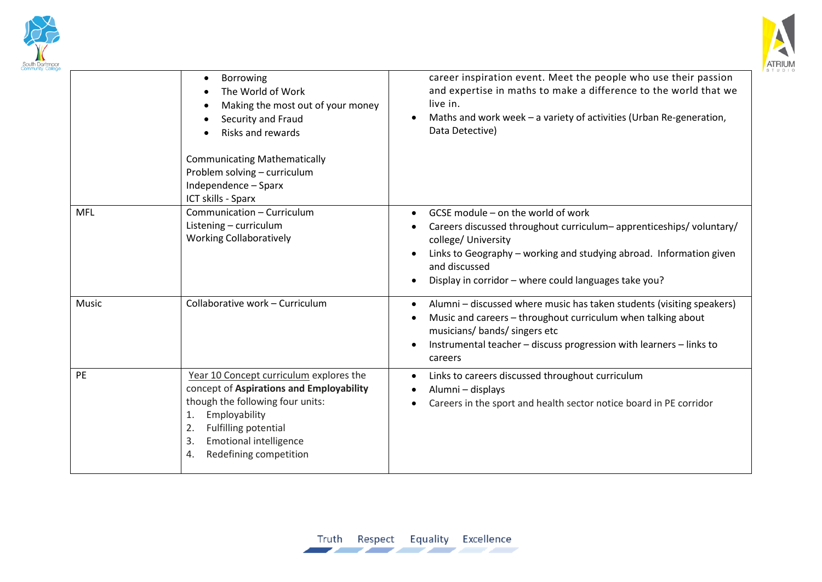



|            | Borrowing<br>$\bullet$<br>The World of Work<br>$\bullet$<br>Making the most out of your money<br>$\bullet$<br>Security and Fraud<br>$\bullet$<br>Risks and rewards<br><b>Communicating Mathematically</b><br>Problem solving - curriculum<br>Independence - Sparx<br>ICT skills - Sparx | career inspiration event. Meet the people who use their passion<br>and expertise in maths to make a difference to the world that we<br>live in.<br>Maths and work week - a variety of activities (Urban Re-generation,<br>Data Detective)                                        |
|------------|-----------------------------------------------------------------------------------------------------------------------------------------------------------------------------------------------------------------------------------------------------------------------------------------|----------------------------------------------------------------------------------------------------------------------------------------------------------------------------------------------------------------------------------------------------------------------------------|
| <b>MFL</b> | Communication - Curriculum<br>Listening - curriculum<br><b>Working Collaboratively</b>                                                                                                                                                                                                  | GCSE module – on the world of work<br>Careers discussed throughout curriculum-apprenticeships/voluntary/<br>college/ University<br>Links to Geography - working and studying abroad. Information given<br>and discussed<br>Display in corridor - where could languages take you? |
| Music      | Collaborative work - Curriculum                                                                                                                                                                                                                                                         | Alumni - discussed where music has taken students (visiting speakers)<br>Music and careers - throughout curriculum when talking about<br>musicians/ bands/ singers etc<br>Instrumental teacher - discuss progression with learners - links to<br>careers                         |
| PE         | Year 10 Concept curriculum explores the<br>concept of Aspirations and Employability<br>though the following four units:<br>Employability<br>1.<br><b>Fulfilling potential</b><br>2.<br><b>Emotional intelligence</b><br>3.<br>Redefining competition<br>4.                              | Links to careers discussed throughout curriculum<br>Alumni - displays<br>Careers in the sport and health sector notice board in PE corridor                                                                                                                                      |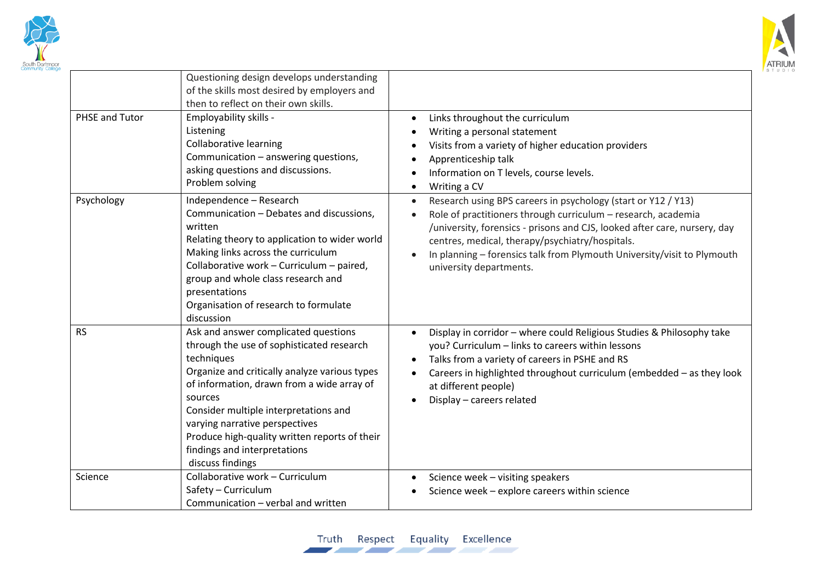



| PHSE and Tutor | Questioning design develops understanding<br>of the skills most desired by employers and<br>then to reflect on their own skills.<br>Employability skills -<br>Listening<br><b>Collaborative learning</b><br>Communication - answering questions,<br>asking questions and discussions.<br>Problem solving                                                                                  | Links throughout the curriculum<br>$\bullet$<br>Writing a personal statement<br>Visits from a variety of higher education providers<br>Apprenticeship talk<br>Information on T levels, course levels.<br>Writing a CV                                                                                                                                                             |
|----------------|-------------------------------------------------------------------------------------------------------------------------------------------------------------------------------------------------------------------------------------------------------------------------------------------------------------------------------------------------------------------------------------------|-----------------------------------------------------------------------------------------------------------------------------------------------------------------------------------------------------------------------------------------------------------------------------------------------------------------------------------------------------------------------------------|
| Psychology     | Independence - Research<br>Communication - Debates and discussions,<br>written<br>Relating theory to application to wider world<br>Making links across the curriculum<br>Collaborative work - Curriculum - paired,<br>group and whole class research and<br>presentations<br>Organisation of research to formulate<br>discussion                                                          | Research using BPS careers in psychology (start or Y12 / Y13)<br>$\bullet$<br>Role of practitioners through curriculum - research, academia<br>/university, forensics - prisons and CJS, looked after care, nursery, day<br>centres, medical, therapy/psychiatry/hospitals.<br>In planning - forensics talk from Plymouth University/visit to Plymouth<br>university departments. |
| <b>RS</b>      | Ask and answer complicated questions<br>through the use of sophisticated research<br>techniques<br>Organize and critically analyze various types<br>of information, drawn from a wide array of<br>sources<br>Consider multiple interpretations and<br>varying narrative perspectives<br>Produce high-quality written reports of their<br>findings and interpretations<br>discuss findings | Display in corridor - where could Religious Studies & Philosophy take<br>you? Curriculum - links to careers within lessons<br>Talks from a variety of careers in PSHE and RS<br>Careers in highlighted throughout curriculum (embedded - as they look<br>at different people)<br>Display - careers related                                                                        |
| Science        | Collaborative work - Curriculum<br>Safety - Curriculum<br>Communication - verbal and written                                                                                                                                                                                                                                                                                              | Science week - visiting speakers<br>Science week - explore careers within science                                                                                                                                                                                                                                                                                                 |

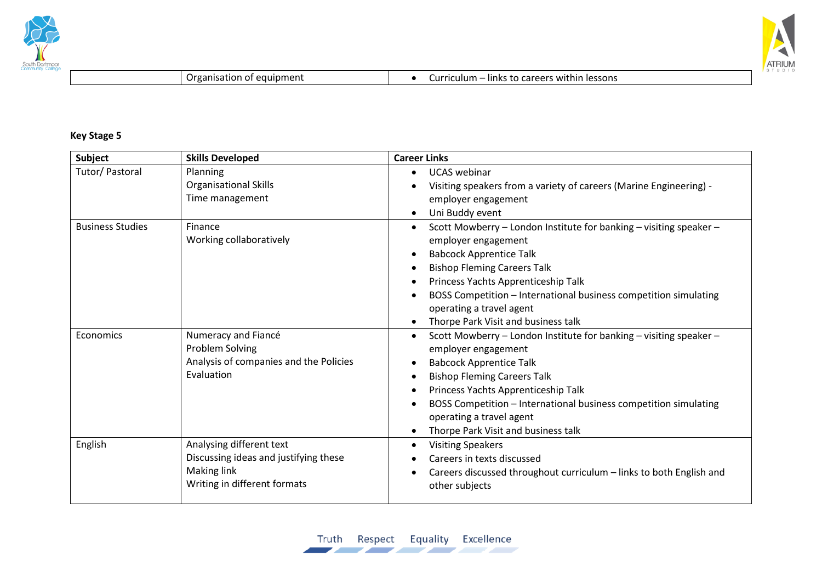



Organisation of equipment **and Curriculum – links to careers within lessons** 

#### **Key Stage 5**

| Subject                 | <b>Skills Developed</b>                                                                                          | <b>Career Links</b>                                                                                                                                                                                                                                                                                                                             |
|-------------------------|------------------------------------------------------------------------------------------------------------------|-------------------------------------------------------------------------------------------------------------------------------------------------------------------------------------------------------------------------------------------------------------------------------------------------------------------------------------------------|
| Tutor/ Pastoral         | Planning<br><b>Organisational Skills</b><br>Time management                                                      | <b>UCAS</b> webinar<br>Visiting speakers from a variety of careers (Marine Engineering) -<br>employer engagement<br>Uni Buddy event                                                                                                                                                                                                             |
| <b>Business Studies</b> | Finance<br>Working collaboratively                                                                               | Scott Mowberry - London Institute for banking - visiting speaker -<br>employer engagement<br><b>Babcock Apprentice Talk</b><br><b>Bishop Fleming Careers Talk</b><br>Princess Yachts Apprenticeship Talk<br>BOSS Competition - International business competition simulating<br>operating a travel agent<br>Thorpe Park Visit and business talk |
| Economics               | Numeracy and Fiancé<br>Problem Solving<br>Analysis of companies and the Policies<br>Evaluation                   | Scott Mowberry - London Institute for banking - visiting speaker -<br>employer engagement<br><b>Babcock Apprentice Talk</b><br><b>Bishop Fleming Careers Talk</b><br>Princess Yachts Apprenticeship Talk<br>BOSS Competition - International business competition simulating<br>operating a travel agent<br>Thorpe Park Visit and business talk |
| English                 | Analysing different text<br>Discussing ideas and justifying these<br>Making link<br>Writing in different formats | <b>Visiting Speakers</b><br>Careers in texts discussed<br>Careers discussed throughout curriculum - links to both English and<br>other subjects                                                                                                                                                                                                 |

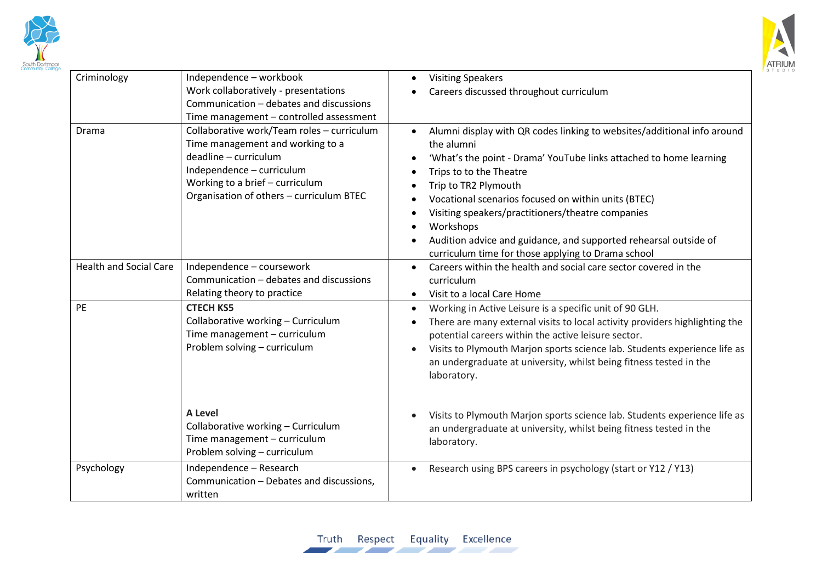



| Criminology                   | Independence - workbook<br>Work collaboratively - presentations<br>Communication - debates and discussions<br>Time management - controlled assessment                                                               | <b>Visiting Speakers</b><br>Careers discussed throughout curriculum                                                                                                                                                                                                                                                                                                                                                                                               |
|-------------------------------|---------------------------------------------------------------------------------------------------------------------------------------------------------------------------------------------------------------------|-------------------------------------------------------------------------------------------------------------------------------------------------------------------------------------------------------------------------------------------------------------------------------------------------------------------------------------------------------------------------------------------------------------------------------------------------------------------|
| Drama                         | Collaborative work/Team roles - curriculum<br>Time management and working to a<br>deadline - curriculum<br>Independence - curriculum<br>Working to a brief - curriculum<br>Organisation of others - curriculum BTEC | Alumni display with QR codes linking to websites/additional info around<br>the alumni<br>'What's the point - Drama' YouTube links attached to home learning<br>Trips to to the Theatre<br>Trip to TR2 Plymouth<br>Vocational scenarios focused on within units (BTEC)<br>Visiting speakers/practitioners/theatre companies<br>Workshops<br>Audition advice and guidance, and supported rehearsal outside of<br>curriculum time for those applying to Drama school |
| <b>Health and Social Care</b> | Independence - coursework<br>Communication - debates and discussions<br>Relating theory to practice                                                                                                                 | Careers within the health and social care sector covered in the<br>curriculum<br>Visit to a local Care Home                                                                                                                                                                                                                                                                                                                                                       |
| <b>PE</b>                     | <b>CTECH KS5</b><br>Collaborative working - Curriculum<br>Time management - curriculum<br>Problem solving - curriculum                                                                                              | Working in Active Leisure is a specific unit of 90 GLH.<br>$\bullet$<br>There are many external visits to local activity providers highlighting the<br>potential careers within the active leisure sector.<br>Visits to Plymouth Marjon sports science lab. Students experience life as<br>an undergraduate at university, whilst being fitness tested in the<br>laboratory.                                                                                      |
|                               | <b>A Level</b><br>Collaborative working - Curriculum<br>Time management - curriculum<br>Problem solving - curriculum                                                                                                | Visits to Plymouth Marjon sports science lab. Students experience life as<br>an undergraduate at university, whilst being fitness tested in the<br>laboratory.                                                                                                                                                                                                                                                                                                    |
| Psychology                    | Independence - Research<br>Communication - Debates and discussions,<br>written                                                                                                                                      | Research using BPS careers in psychology (start or Y12 / Y13)                                                                                                                                                                                                                                                                                                                                                                                                     |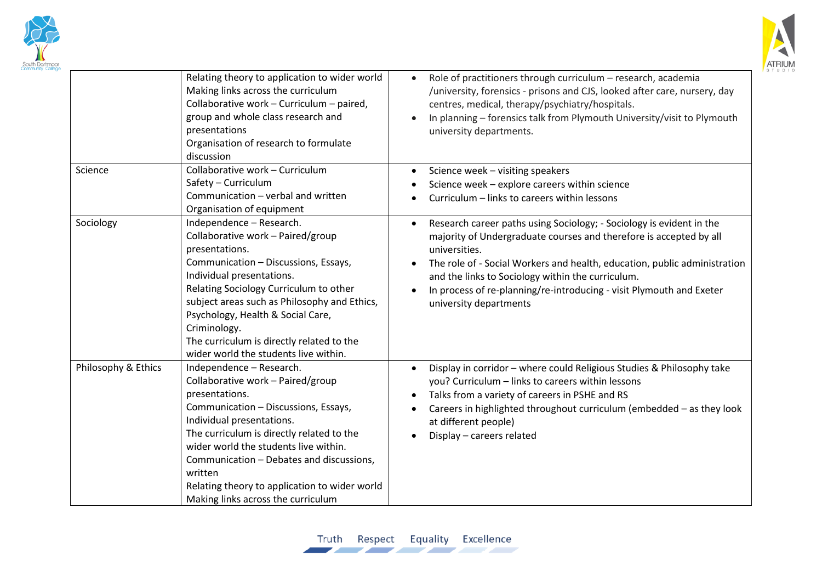



|                     | Relating theory to application to wider world<br>Making links across the curriculum<br>Collaborative work - Curriculum - paired,<br>group and whole class research and<br>presentations<br>Organisation of research to formulate<br>discussion                                                                                                                                            | Role of practitioners through curriculum - research, academia<br>/university, forensics - prisons and CJS, looked after care, nursery, day<br>centres, medical, therapy/psychiatry/hospitals.<br>In planning - forensics talk from Plymouth University/visit to Plymouth<br>university departments.                                                                                                          |
|---------------------|-------------------------------------------------------------------------------------------------------------------------------------------------------------------------------------------------------------------------------------------------------------------------------------------------------------------------------------------------------------------------------------------|--------------------------------------------------------------------------------------------------------------------------------------------------------------------------------------------------------------------------------------------------------------------------------------------------------------------------------------------------------------------------------------------------------------|
| Science             | Collaborative work - Curriculum<br>Safety - Curriculum<br>Communication - verbal and written<br>Organisation of equipment                                                                                                                                                                                                                                                                 | Science week - visiting speakers<br>Science week - explore careers within science<br>Curriculum - links to careers within lessons                                                                                                                                                                                                                                                                            |
| Sociology           | Independence - Research.<br>Collaborative work - Paired/group<br>presentations.<br>Communication - Discussions, Essays,<br>Individual presentations.<br>Relating Sociology Curriculum to other<br>subject areas such as Philosophy and Ethics,<br>Psychology, Health & Social Care,<br>Criminology.<br>The curriculum is directly related to the<br>wider world the students live within. | Research career paths using Sociology; - Sociology is evident in the<br>$\bullet$<br>majority of Undergraduate courses and therefore is accepted by all<br>universities.<br>The role of - Social Workers and health, education, public administration<br>and the links to Sociology within the curriculum.<br>In process of re-planning/re-introducing - visit Plymouth and Exeter<br>university departments |
| Philosophy & Ethics | Independence - Research.<br>Collaborative work - Paired/group<br>presentations.<br>Communication - Discussions, Essays,<br>Individual presentations.<br>The curriculum is directly related to the<br>wider world the students live within.<br>Communication - Debates and discussions,<br>written<br>Relating theory to application to wider world<br>Making links across the curriculum  | Display in corridor - where could Religious Studies & Philosophy take<br>you? Curriculum - links to careers within lessons<br>Talks from a variety of careers in PSHE and RS<br>Careers in highlighted throughout curriculum (embedded - as they look<br>at different people)<br>Display - careers related                                                                                                   |